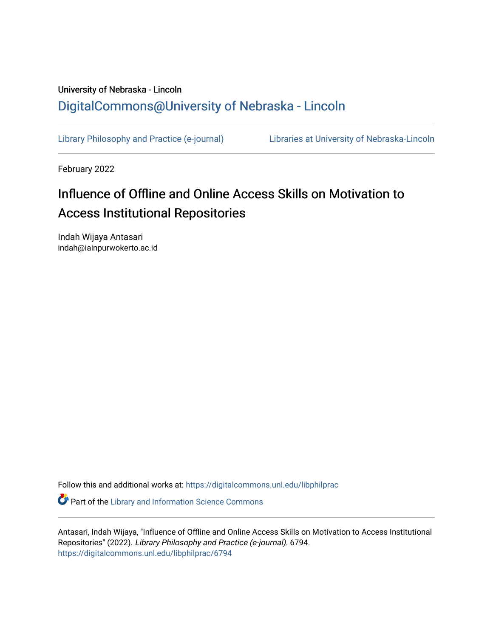# University of Nebraska - Lincoln [DigitalCommons@University of Nebraska - Lincoln](https://digitalcommons.unl.edu/)

[Library Philosophy and Practice \(e-journal\)](https://digitalcommons.unl.edu/libphilprac) [Libraries at University of Nebraska-Lincoln](https://digitalcommons.unl.edu/libraries) 

February 2022

# Influence of Offline and Online Access Skills on Motivation to Access Institutional Repositories

Indah Wijaya Antasari indah@iainpurwokerto.ac.id

Follow this and additional works at: [https://digitalcommons.unl.edu/libphilprac](https://digitalcommons.unl.edu/libphilprac?utm_source=digitalcommons.unl.edu%2Flibphilprac%2F6794&utm_medium=PDF&utm_campaign=PDFCoverPages) 

**Part of the Library and Information Science Commons** 

Antasari, Indah Wijaya, "Influence of Offline and Online Access Skills on Motivation to Access Institutional Repositories" (2022). Library Philosophy and Practice (e-journal). 6794. [https://digitalcommons.unl.edu/libphilprac/6794](https://digitalcommons.unl.edu/libphilprac/6794?utm_source=digitalcommons.unl.edu%2Flibphilprac%2F6794&utm_medium=PDF&utm_campaign=PDFCoverPages)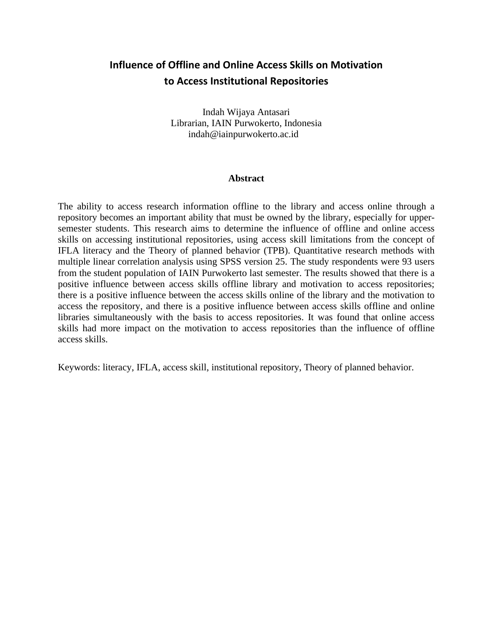## **Influence of Offline and Online Access Skills on Motivation to Access Institutional Repositories**

Indah Wijaya Antasari Librarian, IAIN Purwokerto, Indonesia indah@iainpurwokerto.ac.id

### **Abstract**

The ability to access research information offline to the library and access online through a repository becomes an important ability that must be owned by the library, especially for uppersemester students. This research aims to determine the influence of offline and online access skills on accessing institutional repositories, using access skill limitations from the concept of IFLA literacy and the Theory of planned behavior (TPB). Quantitative research methods with multiple linear correlation analysis using SPSS version 25. The study respondents were 93 users from the student population of IAIN Purwokerto last semester. The results showed that there is a positive influence between access skills offline library and motivation to access repositories; there is a positive influence between the access skills online of the library and the motivation to access the repository, and there is a positive influence between access skills offline and online libraries simultaneously with the basis to access repositories. It was found that online access skills had more impact on the motivation to access repositories than the influence of offline access skills.

Keywords: literacy, IFLA, access skill, institutional repository, Theory of planned behavior.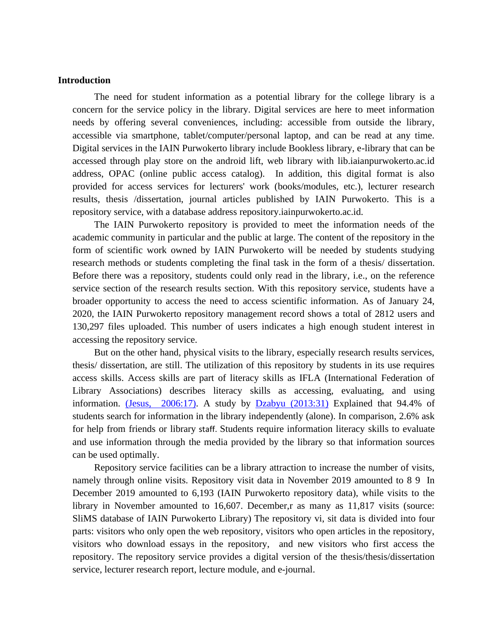### **Introduction**

The need for student information as a potential library for the college library is a concern for the service policy in the library. Digital services are here to meet information needs by offering several conveniences, including: accessible from outside the library, accessible via smartphone, tablet/computer/personal laptop, and can be read at any time. Digital services in the IAIN Purwokerto library include Bookless library, e-library that can be accessed through play store on the android lift, web library with lib.iaianpurwokerto.ac.id address, OPAC (online public access catalog). In addition, this digital format is also provided for access services for lecturers' work (books/modules, etc.), lecturer research results, thesis /dissertation, journal articles published by IAIN Purwokerto. This is a repository service, with a database address repository.iainpurwokerto.ac.id.

The IAIN Purwokerto repository is provided to meet the information needs of the academic community in particular and the public at large. The content of the repository in the form of scientific work owned by IAIN Purwokerto will be needed by students studying research methods or students completing the final task in the form of a thesis/ dissertation. Before there was a repository, students could only read in the library, i.e., on the reference service section of the research results section. With this repository service, students have a broader opportunity to access the need to access scientific information. As of January 24, 2020, the IAIN Purwokerto repository management record shows a total of 2812 users and 130,297 files uploaded. This number of users indicates a high enough student interest in accessing the repository service.

But on the other hand, physical visits to the library, especially research results services, thesis/ dissertation, are still. The utilization of this repository by students in its use requires access skills. Access skills are part of literacy skills as IFLA (International Federation of Library Associations) describes literacy skills as accessing, evaluating, and using information. (Jesus,  $2006:17$ ). A study by  $Dzabyu$  (2013:31) Explained that 94.4% of students search for information in the library independently (alone). In comparison, 2.6% ask for help from friends or library staff. Students require information literacy skills to evaluate and use information through the media provided by the library so that information sources can be used optimally.

Repository service facilities can be a library attraction to increase the number of visits, namely through online visits. Repository visit data in November 2019 amounted to 8 9 In December 2019 amounted to 6,193 (IAIN Purwokerto repository data), while visits to the library in November amounted to 16,607. December,r as many as 11,817 visits (source: SliMS database of IAIN Purwokerto Library) The repository vi, sit data is divided into four parts: visitors who only open the web repository, visitors who open articles in the repository, visitors who download essays in the repository, and new visitors who first access the repository. The repository service provides a digital version of the thesis/thesis/dissertation service, lecturer research report, lecture module, and e-journal.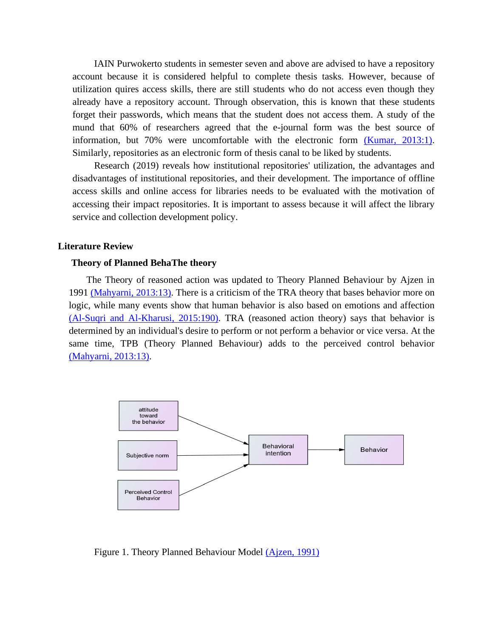IAIN Purwokerto students in semester seven and above are advised to have a repository account because it is considered helpful to complete thesis tasks. However, because of utilization quires access skills, there are still students who do not access even though they already have a repository account. Through observation, this is known that these students forget their passwords, which means that the student does not access them. A study of the mund that 60% of researchers agreed that the e-journal form was the best source of information, but 70% were uncomfortable with the electronic form (Kumar, 2013:1). Similarly, repositories as an electronic form of thesis canal to be liked by students.

Research (2019) reveals how institutional repositories' utilization, the advantages and disadvantages of institutional repositories, and their development. The importance of offline access skills and online access for libraries needs to be evaluated with the motivation of accessing their impact repositories. It is important to assess because it will affect the library service and collection development policy.

#### **Literature Review**

### **Theory of Planned BehaThe theory**

The Theory of reasoned action was updated to Theory Planned Behaviour by Ajzen in 1991 (Mahyarni, 2013:13). There is a criticism of the TRA theory that bases behavior more on logic, while many events show that human behavior is also based on emotions and affection (Al-Suqri and Al-Kharusi, 2015:190). TRA (reasoned action theory) says that behavior is determined by an individual's desire to perform or not perform a behavior or vice versa. At the same time, TPB (Theory Planned Behaviour) adds to the perceived control behavior (Mahyarni, 2013:13).



Figure 1. Theory Planned Behaviour Model (Ajzen, 1991)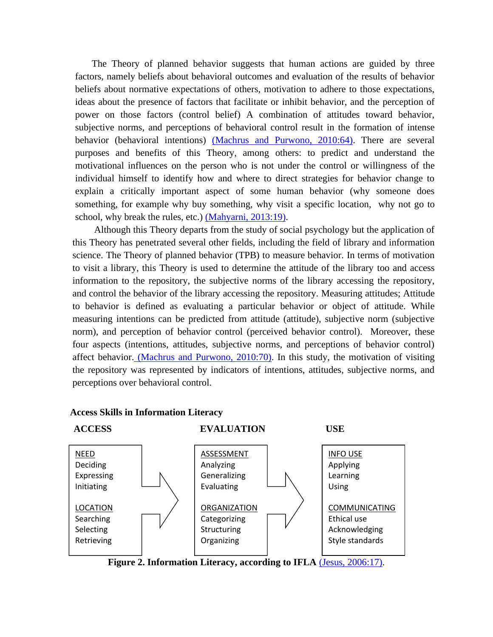The Theory of planned behavior suggests that human actions are guided by three factors, namely beliefs about behavioral outcomes and evaluation of the results of behavior beliefs about normative expectations of others, motivation to adhere to those expectations, ideas about the presence of factors that facilitate or inhibit behavior, and the perception of power on those factors (control belief) A combination of attitudes toward behavior, subjective norms, and perceptions of behavioral control result in the formation of intense behavior (behavioral intentions) (Machrus and Purwono, 2010:64). There are several purposes and benefits of this Theory, among others: to predict and understand the motivational influences on the person who is not under the control or willingness of the individual himself to identify how and where to direct strategies for behavior change to explain a critically important aspect of some human behavior (why someone does something, for example why buy something, why visit a specific location, why not go to school, why break the rules, etc.) (Mahyarni, 2013:19).

Although this Theory departs from the study of social psychology but the application of this Theory has penetrated several other fields, including the field of library and information science. The Theory of planned behavior (TPB) to measure behavior. In terms of motivation to visit a library, this Theory is used to determine the attitude of the library too and access information to the repository, the subjective norms of the library accessing the repository, and control the behavior of the library accessing the repository. Measuring attitudes; Attitude to behavior is defined as evaluating a particular behavior or object of attitude. While measuring intentions can be predicted from attitude (attitude), subjective norm (subjective norm), and perception of behavior control (perceived behavior control). Moreover, these four aspects (intentions, attitudes, subjective norms, and perceptions of behavior control) affect behavior. (Machrus and Purwono, 2010:70). In this study, the motivation of visiting the repository was represented by indicators of intentions, attitudes, subjective norms, and perceptions over behavioral control.



**Access Skills in Information Literacy** 

**Figure 2. Information Literacy, according to IFLA** (Jesus, 2006:17).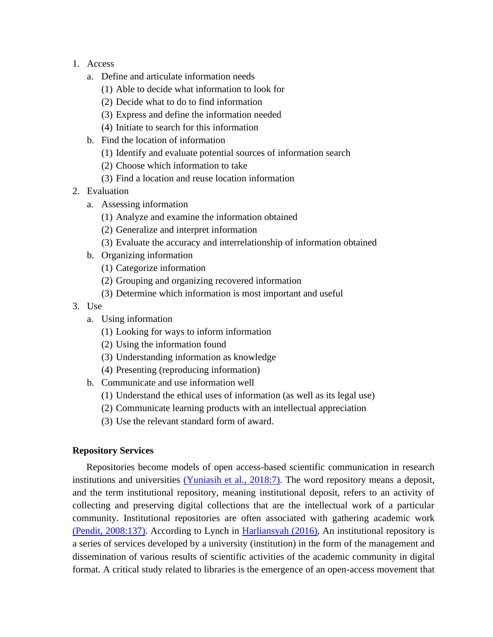- 1. Access
	- a. Define and articulate information needs
		- (1) Able to decide what information to look for
		- (2) Decide what to do to find information
		- (3) Express and define the information needed
		- (4) Initiate to search for this information
	- b. Find the location of information
		- (1) Identify and evaluate potential sources of information search
		- (2) Choose which information to take
		- (3) Find a location and reuse location information
- 2. Evaluation
	- a. Assessing information
		- (1) Analyze and examine the information obtained
		- (2) Generalize and interpret information
		- (3) Evaluate the accuracy and interrelationship of information obtained
	- b. Organizing information
		- (1) Categorize information
		- (2) Grouping and organizing recovered information
		- (3) Determine which information is most important and useful
- 3. Use
	- a. Using information
		- (1) Looking for ways to inform information
		- (2) Using the information found
		- (3) Understanding information as knowledge
		- (4) Presenting (reproducing information)
	- b. Communicate and use information well
		- (1) Understand the ethical uses of information (as well as its legal use)
		- (2) Communicate learning products with an intellectual appreciation
		- (3) Use the relevant standard form of award.

### **Repository Services**

Repositories become models of open access-based scientific communication in research institutions and universities (Yuniasih et al., 2018:7). The word repository means a deposit, and the term institutional repository, meaning institutional deposit, refers to an activity of collecting and preserving digital collections that are the intellectual work of a particular community. Institutional repositories are often associated with gathering academic work (Pendit, 2008:137). According to Lynch in [Harliansyah \(2016\),](#page-12-0) An institutional repository is a series of services developed by a university (institution) in the form of the management and dissemination of various results of scientific activities of the academic community in digital format. A critical study related to libraries is the emergence of an open-access movement that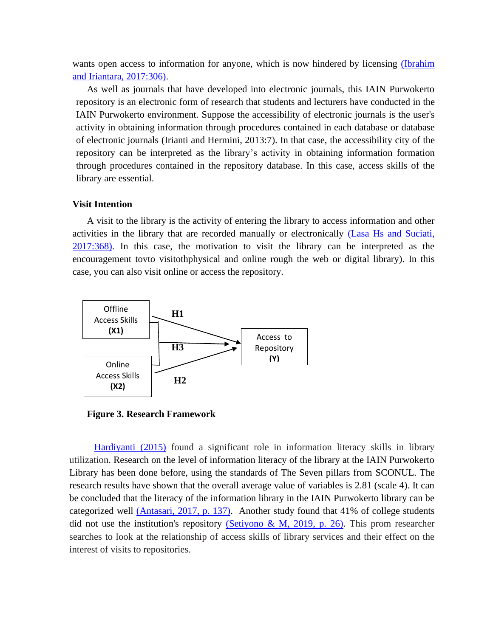wants open access to information for anyone, which is now hindered by licensing (Ibrahim and Iriantara, 2017:306).

As well as journals that have developed into electronic journals, this IAIN Purwokerto repository is an electronic form of research that students and lecturers have conducted in the IAIN Purwokerto environment. Suppose the accessibility of electronic journals is the user's activity in obtaining information through procedures contained in each database or database of electronic journals (Irianti and Hermini, 2013:7). In that case, the accessibility city of the repository can be interpreted as the library's activity in obtaining information formation through procedures contained in the repository database. In this case, access skills of the library are essential.

### **Visit Intention**

A visit to the library is the activity of entering the library to access information and other activities in the library that are recorded manually or electronically (Lasa Hs and Suciati, 2017:368). In this case, the motivation to visit the library can be interpreted as the encouragement tovto visitothphysical and online rough the web or digital library). In this case, you can also visit online or access the repository.



**Figure 3. Research Framework**

<span id="page-6-0"></span>[Hardiyanti \(2015\)](#page-6-0) found a significant role in information literacy skills in library utilization. Research on the level of information literacy of the library at the IAIN Purwokerto Library has been done before, using the standards of The Seven pillars from SCONUL. The research results have shown that the overall average value of variables is 2.81 (scale 4). It can be concluded that the literacy of the information library in the IAIN Purwokerto library can be categorized well (Antasari, 2017, p. 137). Another study found that 41% of college students did not use the institution's repository (Setiyono & M, 2019, p. 26). This prom researcher searches to look at the relationship of access skills of library services and their effect on the interest of visits to repositories.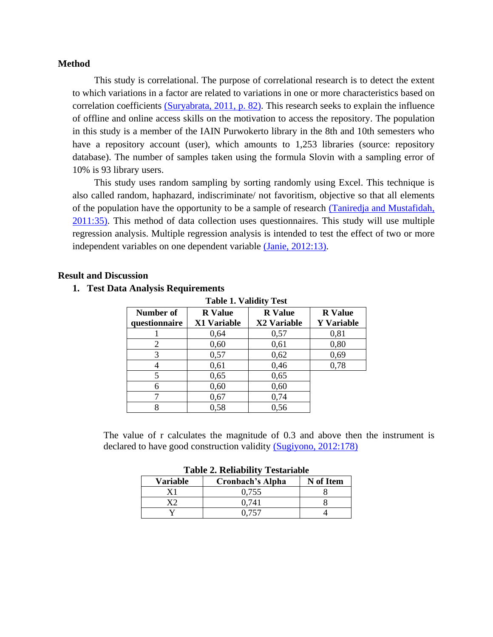### **Method**

This study is correlational. The purpose of correlational research is to detect the extent to which variations in a factor are related to variations in one or more characteristics based on correlation coefficients (Suryabrata, 2011, p. 82). This research seeks to explain the influence of offline and online access skills on the motivation to access the repository. The population in this study is a member of the IAIN Purwokerto library in the 8th and 10th semesters who have a repository account (user), which amounts to 1,253 libraries (source: repository database). The number of samples taken using the formula Slovin with a sampling error of 10% is 93 library users.

This study uses random sampling by sorting randomly using Excel. This technique is also called random, haphazard, indiscriminate/ not favoritism, objective so that all elements of the population have the opportunity to be a sample of research (Taniredja and Mustafidah, 2011:35). This method of data collection uses questionnaires. This study will use multiple regression analysis. Multiple regression analysis is intended to test the effect of two or more independent variables on one dependent variable (Janie, 2012:13).

### **Result and Discussion**

### **1. Test Data Analysis Requirements**

| <b>Table 1. Validity Test</b> |                               |                               |                                     |  |  |  |  |  |
|-------------------------------|-------------------------------|-------------------------------|-------------------------------------|--|--|--|--|--|
| Number of<br>questionnaire    | <b>R</b> Value<br>X1 Variable | <b>R</b> Value<br>X2 Variable | <b>R</b> Value<br><b>Y</b> Variable |  |  |  |  |  |
|                               | 0,64                          | 0,57                          | 0,81                                |  |  |  |  |  |
| 2                             | 0,60                          | 0,61                          | 0,80                                |  |  |  |  |  |
| 3                             | 0,57                          | 0,62                          | 0,69                                |  |  |  |  |  |
|                               | 0,61                          | 0,46                          | 0,78                                |  |  |  |  |  |
| 5                             | 0,65                          | 0,65                          |                                     |  |  |  |  |  |
| 6                             | 0,60                          | 0,60                          |                                     |  |  |  |  |  |
|                               | 0,67                          | 0,74                          |                                     |  |  |  |  |  |
| 8                             | 0,58                          | 0,56                          |                                     |  |  |  |  |  |

The value of r calculates the magnitude of 0.3 and above then the instrument is declared to have good construction validity (Sugiyono, 2012:178)

| <b>Table 2. Reliability Testariable</b>          |       |  |  |  |  |  |  |
|--------------------------------------------------|-------|--|--|--|--|--|--|
| N of Item<br>Variable<br><b>Cronbach's Alpha</b> |       |  |  |  |  |  |  |
|                                                  | 0.755 |  |  |  |  |  |  |
| vາ                                               | 0.741 |  |  |  |  |  |  |
|                                                  | 0.757 |  |  |  |  |  |  |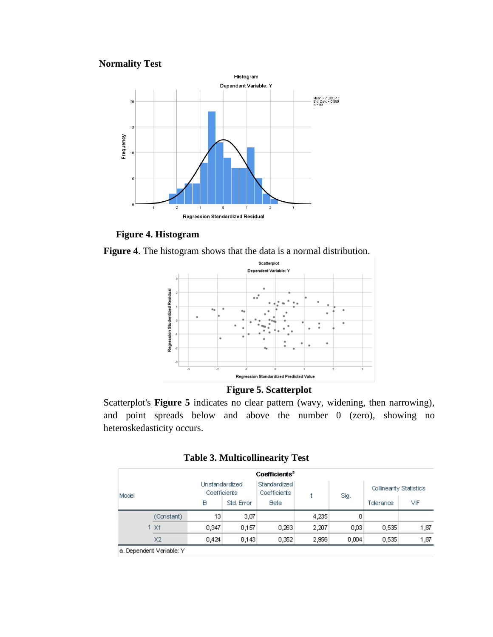### **Normality Test**



**Figure 4. Histogram**

**Figure 4**. The histogram shows that the data is a normal distribution.



### **Figure 5. Scatterplot**

Scatterplot's **Figure 5** indicates no clear pattern (wavy, widening, then narrowing), and point spreads below and above the number 0 (zero), showing no heteroskedasticity occurs.

|  |  | <b>Table 3. Multicollinearity Test</b> |  |  |  |
|--|--|----------------------------------------|--|--|--|
|--|--|----------------------------------------|--|--|--|

|       |                |                                |            | Coefficients <sup>a</sup>    |       |           |                         |      |
|-------|----------------|--------------------------------|------------|------------------------------|-------|-----------|-------------------------|------|
| Model |                | Unstandardized<br>Coefficients |            | Standardized<br>Coefficients |       | Sig.      | Collinearity Statistics |      |
|       |                | B                              | Std. Error | <b>Beta</b>                  |       | Tolerance | ٧IF                     |      |
|       | (Constant)     | 13                             | 3,07       |                              | 4,235 | 0         |                         |      |
|       | 1 X1           | 0.347                          | 0,157      | 0,263                        | 2,207 | 0,03      | 0,535                   | 1,87 |
|       | X <sub>2</sub> | 0,424                          | 0,143      | 0,352                        | 2,956 | 0,004     | 0,535                   | 1,87 |

a. Dependent Variable: Y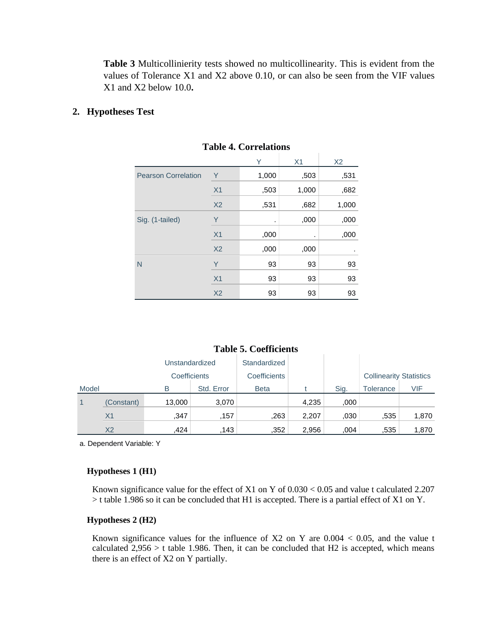**Table 3** Multicollinierity tests showed no multicollinearity. This is evident from the values of Tolerance X1 and X2 above 0.10, or can also be seen from the VIF values X1 and X2 below 10.0**.**

### **2. Hypotheses Test**

|                            |                | Υ     | X <sub>1</sub> | X <sub>2</sub> |  |  |  |  |
|----------------------------|----------------|-------|----------------|----------------|--|--|--|--|
| <b>Pearson Correlation</b> | Υ              | 1,000 | ,503           | ,531           |  |  |  |  |
|                            | X <sub>1</sub> | ,503  | 1,000          | ,682           |  |  |  |  |
|                            | X <sub>2</sub> | ,531  | ,682           | 1,000          |  |  |  |  |
| Sig. (1-tailed)            | Υ              | ٠     | ,000           | ,000           |  |  |  |  |
|                            | X <sub>1</sub> | ,000  | ٠              | ,000           |  |  |  |  |
|                            | X <sub>2</sub> | ,000  | ,000           |                |  |  |  |  |
| N                          | Y              | 93    | 93             | 93             |  |  |  |  |
|                            | X <sub>1</sub> | 93    | 93             | 93             |  |  |  |  |
|                            | X <sub>2</sub> | 93    | 93             | 93             |  |  |  |  |

**Table 4. Correlations**

**Table 5. Coefficients**

|                | Tavit J. Cottitutius |              |            |              |       |      |                                |       |
|----------------|----------------------|--------------|------------|--------------|-------|------|--------------------------------|-------|
| Unstandardized |                      | Standardized |            |              |       |      |                                |       |
|                |                      | Coefficients |            | Coefficients |       |      | <b>Collinearity Statistics</b> |       |
| Model          |                      | B            | Std. Error | <b>Beta</b>  |       | Sig. | Tolerance                      | VIF   |
| $\mathbf 1$    | (Constant)           | 13,000       | 3,070      |              | 4,235 | ,000 |                                |       |
|                | X <sub>1</sub>       | ,347         | .157       | .263         | 2,207 | .030 | .535                           | 1,870 |
|                | X <sub>2</sub>       | .424         | .143       | .352         | 2,956 | .004 | .535                           | 1,870 |

a. Dependent Variable: Y

### **Hypotheses 1 (H1)**

Known significance value for the effect of X1 on Y of 0.030 < 0.05 and value t calculated 2.207 > t table 1.986 so it can be concluded that H1 is accepted. There is a partial effect of X1 on Y.

### **Hypotheses 2 (H2)**

Known significance values for the influence of  $X2$  on Y are  $0.004 < 0.05$ , and the value t calculated  $2,956 > t$  table 1.986. Then, it can be concluded that H2 is accepted, which means there is an effect of X2 on Y partially.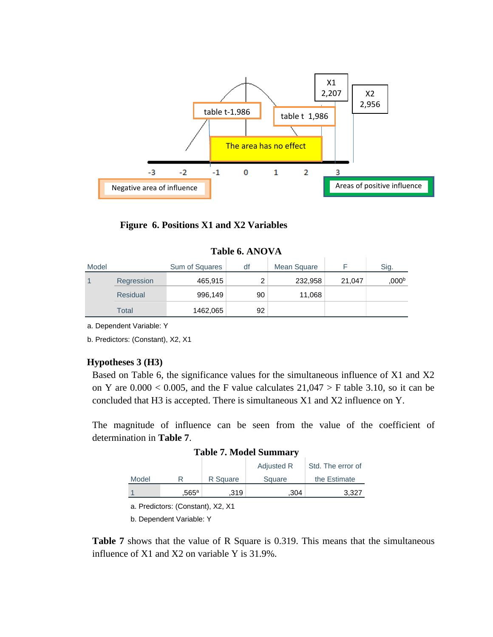

### **Figure 6. Positions X1 and X2 Variables**

| Model |                 | Sum of Squares | df | Mean Square |        | Sig.  |
|-------|-----------------|----------------|----|-------------|--------|-------|
| 1     | Regression      | 465,915        | ⌒  | 232,958     | 21,047 | ,000b |
|       | <b>Residual</b> | 996,149        | 90 | 11,068      |        |       |
|       | Total           | 1462,065       | 92 |             |        |       |

a. Dependent Variable: Y

b. Predictors: (Constant), X2, X1

### **Hypotheses 3 (H3)**

Based on Table 6, the significance values for the simultaneous influence of X1 and X2 on Y are  $0.000 < 0.005$ , and the F value calculates  $21,047 > F$  table 3.10, so it can be concluded that H3 is accepted. There is simultaneous X1 and X2 influence on Y.

The magnitude of influence can be seen from the value of the coefficient of determination in **Table 7**.

### **Table 7. Model Summary**

|       |                     |          | <b>Adjusted R</b> | Std. The error of |
|-------|---------------------|----------|-------------------|-------------------|
| Model |                     | R Square | Square            | the Estimate      |
|       | $.565^{\mathrm{a}}$ | .319     | .304              | 3.327             |

a. Predictors: (Constant), X2, X1

b. Dependent Variable: Y

**Table 7** shows that the value of R Square is 0.319. This means that the simultaneous influence of X1 and X2 on variable Y is 31.9%.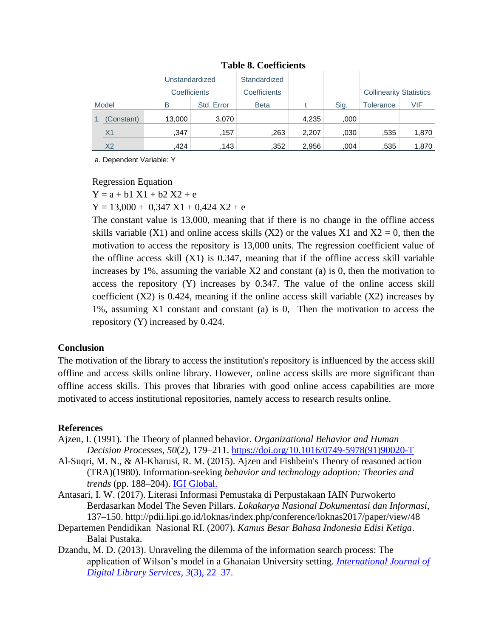| Unstandardized<br>Coefficients |                | Standardized |            |              |       |      |                                |       |
|--------------------------------|----------------|--------------|------------|--------------|-------|------|--------------------------------|-------|
|                                |                |              |            | Coefficients |       |      | <b>Collinearity Statistics</b> |       |
|                                | Model<br>B     |              | Std. Error | <b>Beta</b>  |       | Sig. | Tolerance                      | VIF   |
|                                | (Constant)     | 13,000       | 3,070      |              | 4,235 | ,000 |                                |       |
|                                | X <sub>1</sub> | .347         | .157       | .263         | 2,207 | .030 | .535                           | 1,870 |
|                                | X <sub>2</sub> | .424         | 143        | .352         | 2,956 | .004 | .535                           | 1,870 |

### **Table 8. Coefficients**

a. Dependent Variable: Y

Regression Equation

 $Y = a + b1 X1 + b2 X2 + e$ 

 $Y = 13,000 + 0,347 X1 + 0,424 X2 + e$ 

The constant value is 13,000, meaning that if there is no change in the offline access skills variable (X1) and online access skills (X2) or the values X1 and  $X2 = 0$ , then the motivation to access the repository is 13,000 units. The regression coefficient value of the offline access skill  $(X1)$  is 0.347, meaning that if the offline access skill variable increases by 1%, assuming the variable X2 and constant (a) is 0, then the motivation to access the repository (Y) increases by 0.347. The value of the online access skill coefficient  $(X2)$  is 0.424, meaning if the online access skill variable  $(X2)$  increases by 1%, assuming X1 constant and constant (a) is 0, Then the motivation to access the repository (Y) increased by 0.424.

### **Conclusion**

The motivation of the library to access the institution's repository is influenced by the access skill offline and access skills online library. However, online access skills are more significant than offline access skills. This proves that libraries with good online access capabilities are more motivated to access institutional repositories, namely access to research results online.

### **References**

- Ajzen, I. (1991). The Theory of planned behavior. *Organizational Behavior and Human Decision Processes*, *50*(2), 179–211. [https://doi.org/10.1016/0749-5978\(91\)90020-T](https://doi.org/10.1016/0749-5978(91)90020-T)
- Al-Suqri, M. N., & Al-Kharusi, R. M. (2015). Ajzen and Fishbein's Theory of reasoned action (TRA)(1980). Information-seeking *behavior and technology adoption: Theories and trends* (pp. 188–204). [IGI Global.](https://www.igi-global.com/chapter/ajzen-and-fishbeins-theory-of-reasoned-action-tra-1980/127132)
- Antasari, I. W. (2017). Literasi Informasi Pemustaka di Perpustakaan IAIN Purwokerto Berdasarkan Model The Seven Pillars. *Lokakarya Nasional Dokumentasi dan Informasi*, 137–150. http://pdii.lipi.go.id/loknas/index.php/conference/loknas2017/paper/view/48
- Departemen Pendidikan Nasional RI. (2007). *Kamus Besar Bahasa Indonesia Edisi Ketiga*. Balai Pustaka.
- Dzandu, M. D. (2013). Unraveling the dilemma of the information search process: The application of Wilson's model in a Ghanaian University setting. *[International Journal of](http://www.ijodls.in/uploads/3/6/0/3/3603729/dzandu-_article_22-37.pdf)  [Digital Library Services](http://www.ijodls.in/uploads/3/6/0/3/3603729/dzandu-_article_22-37.pdf)*, *3*(3), 22–37.